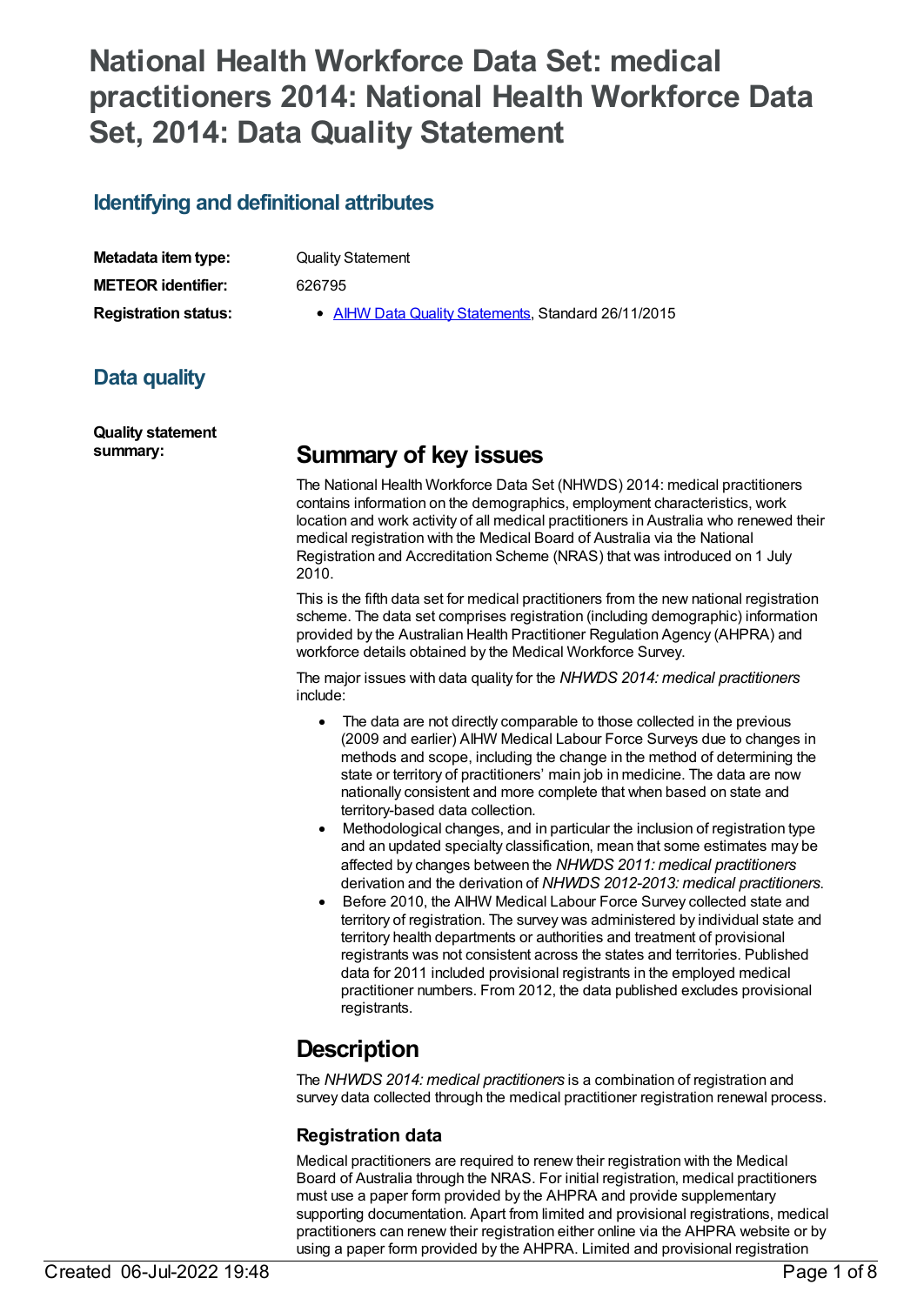# **National Health Workforce Data Set: medical practitioners 2014: National Health Workforce Data Set, 2014: Data Quality Statement**

## **Identifying and definitional attributes**

| Metadata item type:         |  |
|-----------------------------|--|
| <b>METEOR identifier:</b>   |  |
| <b>Registration status:</b> |  |

**Quality Statement** 

**METEOR identifier:** 626795

**AIHW Data Quality [Statements](https://meteor.aihw.gov.au/RegistrationAuthority/5), Standard 26/11/2015** 

## **Data quality**

**Quality statement**

## **summary: Summary of key issues**

The National Health Workforce Data Set (NHWDS) 2014: medical practitioners contains information on the demographics, employment characteristics, work location and work activity of all medical practitioners in Australia who renewed their medical registration with the Medical Board of Australia via the National Registration and Accreditation Scheme (NRAS) that was introduced on 1 July 2010.

This is the fifth data set for medical practitioners from the new national registration scheme. The data set comprises registration (including demographic) information provided by the Australian Health Practitioner Regulation Agency (AHPRA) and workforce details obtained by the Medical Workforce Survey.

The major issues with data quality for the *NHWDS 2014: medical practitioners* include:

- The data are not directly comparable to those collected in the previous (2009 and earlier) AIHW Medical Labour Force Surveys due to changes in methods and scope, including the change in the method of determining the state or territory of practitioners' main job in medicine. The data are now nationally consistent and more complete that when based on state and territory-based data collection.
- · Methodological changes, and in particular the inclusion of registration type and an updated specialty classification, mean that some estimates may be affected by changes between the *NHWDS 2011: medical practitioners* derivation and the derivation of *NHWDS 2012-2013: medical practitioners*.
- Before 2010, the AIHW Medical Labour Force Survey collected state and territory of registration. The survey was administered by individual state and territory health departments or authorities and treatment of provisional registrants was not consistent across the states and territories. Published data for 2011 included provisional registrants in the employed medical practitioner numbers. From 2012, the data published excludes provisional registrants.

# **Description**

The *NHWDS 2014: medical practitioners* is a combination of registration and survey data collected through the medical practitioner registration renewal process.

## **Registration data**

Medical practitioners are required to renew their registration with the Medical Board of Australia through the NRAS. For initial registration, medical practitioners must use a paper form provided by the AHPRA and provide supplementary supporting documentation. Apart from limited and provisional registrations, medical practitioners can renew their registration either online via the AHPRA website or by using a paper form provided by the AHPRA. Limited and provisional registration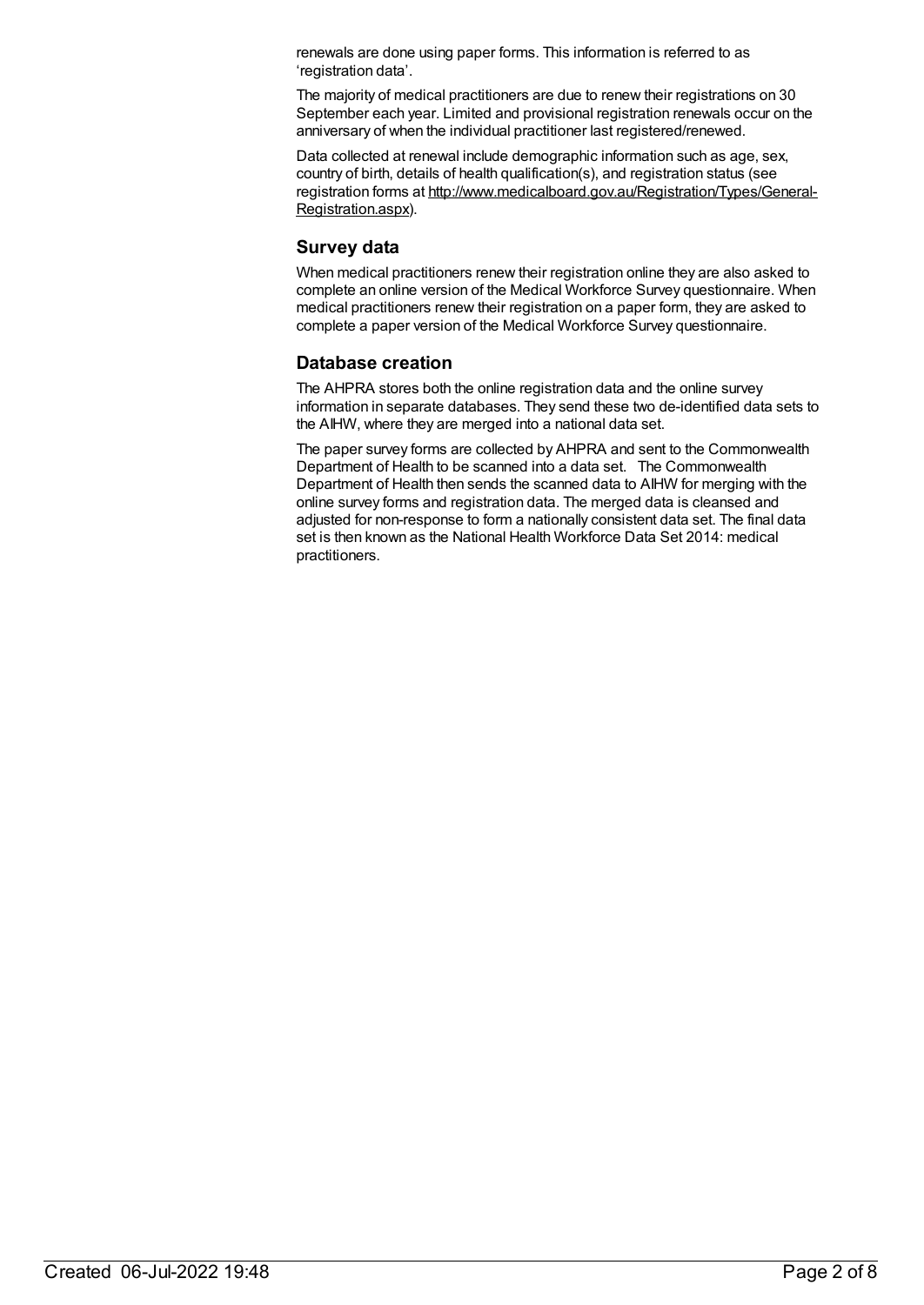renewals are done using paper forms. This information is referred to as 'registration data'.

The majority of medical practitioners are due to renew their registrations on 30 September each year. Limited and provisional registration renewals occur on the anniversary of when the individual practitioner last registered/renewed.

Data collected at renewal include demographic information such as age, sex, country of birth, details of health qualification(s), and registration status (see registration forms at [http://www.medicalboard.gov.au/Registration/Types/General-](http://www.medicalboard.gov.au/Registration/Types/General-Registration.aspx)Registration.aspx).

### **Survey data**

When medical practitioners renew their registration online they are also asked to complete an online version of the Medical Workforce Survey questionnaire. When medical practitioners renew their registration on a paper form, they are asked to complete a paper version of the Medical Workforce Survey questionnaire.

## **Database creation**

The AHPRA stores both the online registration data and the online survey information in separate databases. They send these two de-identified data sets to the AIHW, where they are merged into a national data set.

The paper survey forms are collected by AHPRA and sent to the Commonwealth Department of Health to be scanned into a data set. The Commonwealth Department of Health then sends the scanned data to AIHW for merging with the online survey forms and registration data. The merged data is cleansed and adjusted for non-response to form a nationally consistent data set. The final data set is then known as the National Health Workforce Data Set 2014: medical practitioners.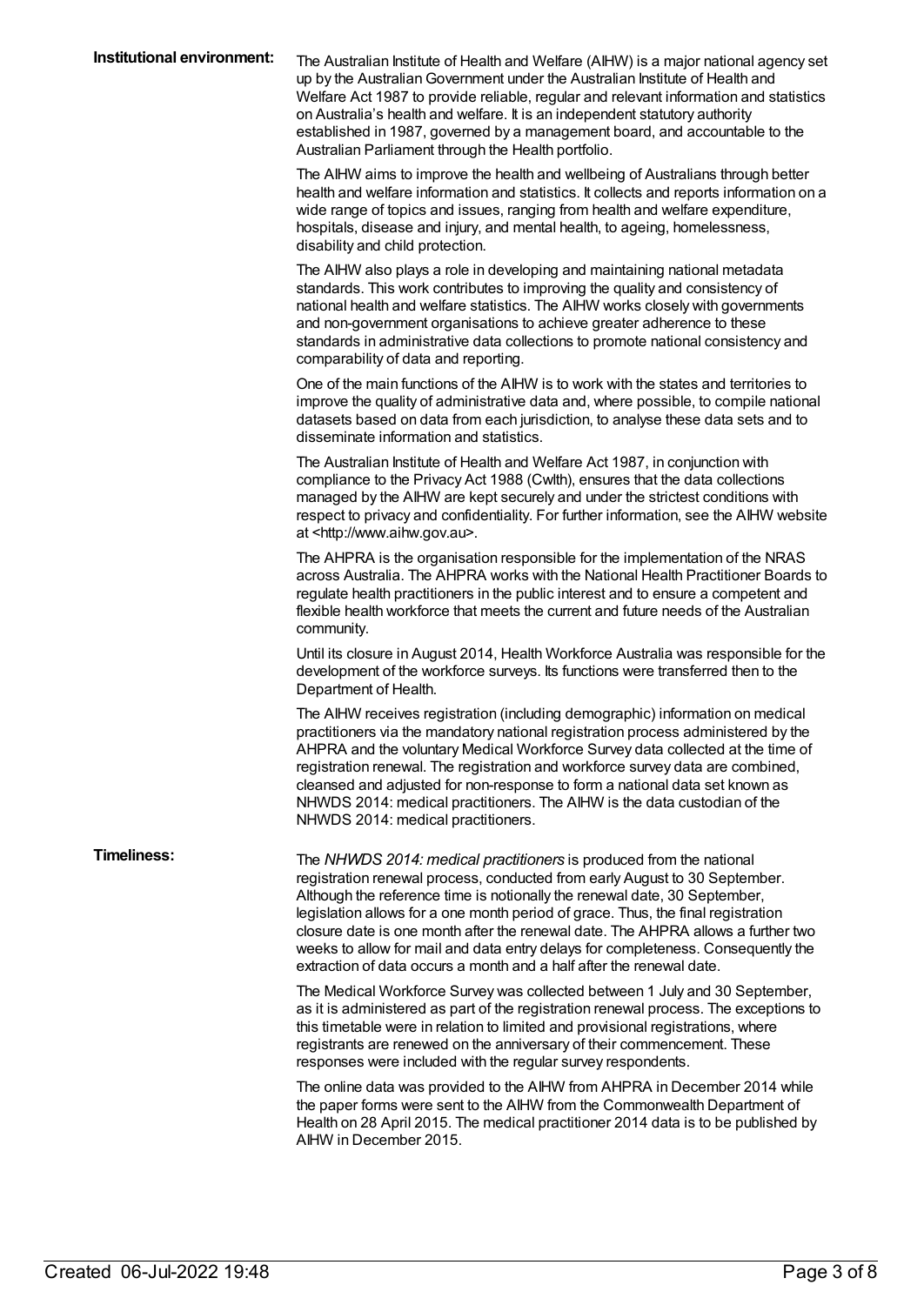| Institutional environment: | The Australian Institute of Health and Welfare (AIHW) is a major national agency set<br>up by the Australian Government under the Australian Institute of Health and<br>Welfare Act 1987 to provide reliable, regular and relevant information and statistics<br>on Australia's health and welfare. It is an independent statutory authority<br>established in 1987, governed by a management board, and accountable to the<br>Australian Parliament through the Health portfolio.                                                                                 |
|----------------------------|--------------------------------------------------------------------------------------------------------------------------------------------------------------------------------------------------------------------------------------------------------------------------------------------------------------------------------------------------------------------------------------------------------------------------------------------------------------------------------------------------------------------------------------------------------------------|
|                            | The AIHW aims to improve the health and wellbeing of Australians through better<br>health and welfare information and statistics. It collects and reports information on a<br>wide range of topics and issues, ranging from health and welfare expenditure,<br>hospitals, disease and injury, and mental health, to ageing, homelessness,<br>disability and child protection.                                                                                                                                                                                      |
|                            | The AIHW also plays a role in developing and maintaining national metadata<br>standards. This work contributes to improving the quality and consistency of<br>national health and welfare statistics. The AIHW works closely with governments<br>and non-government organisations to achieve greater adherence to these<br>standards in administrative data collections to promote national consistency and<br>comparability of data and reporting.                                                                                                                |
|                            | One of the main functions of the AIHW is to work with the states and territories to<br>improve the quality of administrative data and, where possible, to compile national<br>datasets based on data from each jurisdiction, to analyse these data sets and to<br>disseminate information and statistics.                                                                                                                                                                                                                                                          |
|                            | The Australian Institute of Health and Welfare Act 1987, in conjunction with<br>compliance to the Privacy Act 1988 (Cwlth), ensures that the data collections<br>managed by the AIHW are kept securely and under the strictest conditions with<br>respect to privacy and confidentiality. For further information, see the AIHW website<br>at <http: www.aihw.gov.au="">.</http:>                                                                                                                                                                                  |
|                            | The AHPRA is the organisation responsible for the implementation of the NRAS<br>across Australia. The AHPRA works with the National Health Practitioner Boards to<br>regulate health practitioners in the public interest and to ensure a competent and<br>flexible health workforce that meets the current and future needs of the Australian<br>community.                                                                                                                                                                                                       |
|                            | Until its closure in August 2014, Health Workforce Australia was responsible for the<br>development of the workforce surveys. Its functions were transferred then to the<br>Department of Health.                                                                                                                                                                                                                                                                                                                                                                  |
|                            | The AIHW receives registration (including demographic) information on medical<br>practitioners via the mandatory national registration process administered by the<br>AHPRA and the voluntary Medical Workforce Survey data collected at the time of<br>registration renewal. The registration and workforce survey data are combined,<br>cleansed and adjusted for non-response to form a national data set known as<br>NHWDS 2014: medical practitioners. The AIHW is the data custodian of the<br>NHWDS 2014: medical practitioners.                            |
| <b>Timeliness:</b>         | The NHWDS 2014: medical practitioners is produced from the national<br>registration renewal process, conducted from early August to 30 September.<br>Although the reference time is notionally the renewal date, 30 September,<br>legislation allows for a one month period of grace. Thus, the final registration<br>closure date is one month after the renewal date. The AHPRA allows a further two<br>weeks to allow for mail and data entry delays for completeness. Consequently the<br>extraction of data occurs a month and a half after the renewal date. |
|                            | The Medical Workforce Survey was collected between 1 July and 30 September,<br>as it is administered as part of the registration renewal process. The exceptions to<br>this timetable were in relation to limited and provisional registrations, where<br>registrants are renewed on the anniversary of their commencement. These<br>responses were included with the regular survey respondents.                                                                                                                                                                  |
|                            | The online data was provided to the AIHW from AHPRA in December 2014 while<br>the paper forms were sent to the AIHW from the Commonwealth Department of<br>Health on 28 April 2015. The medical practitioner 2014 data is to be published by<br>AIHW in December 2015.                                                                                                                                                                                                                                                                                             |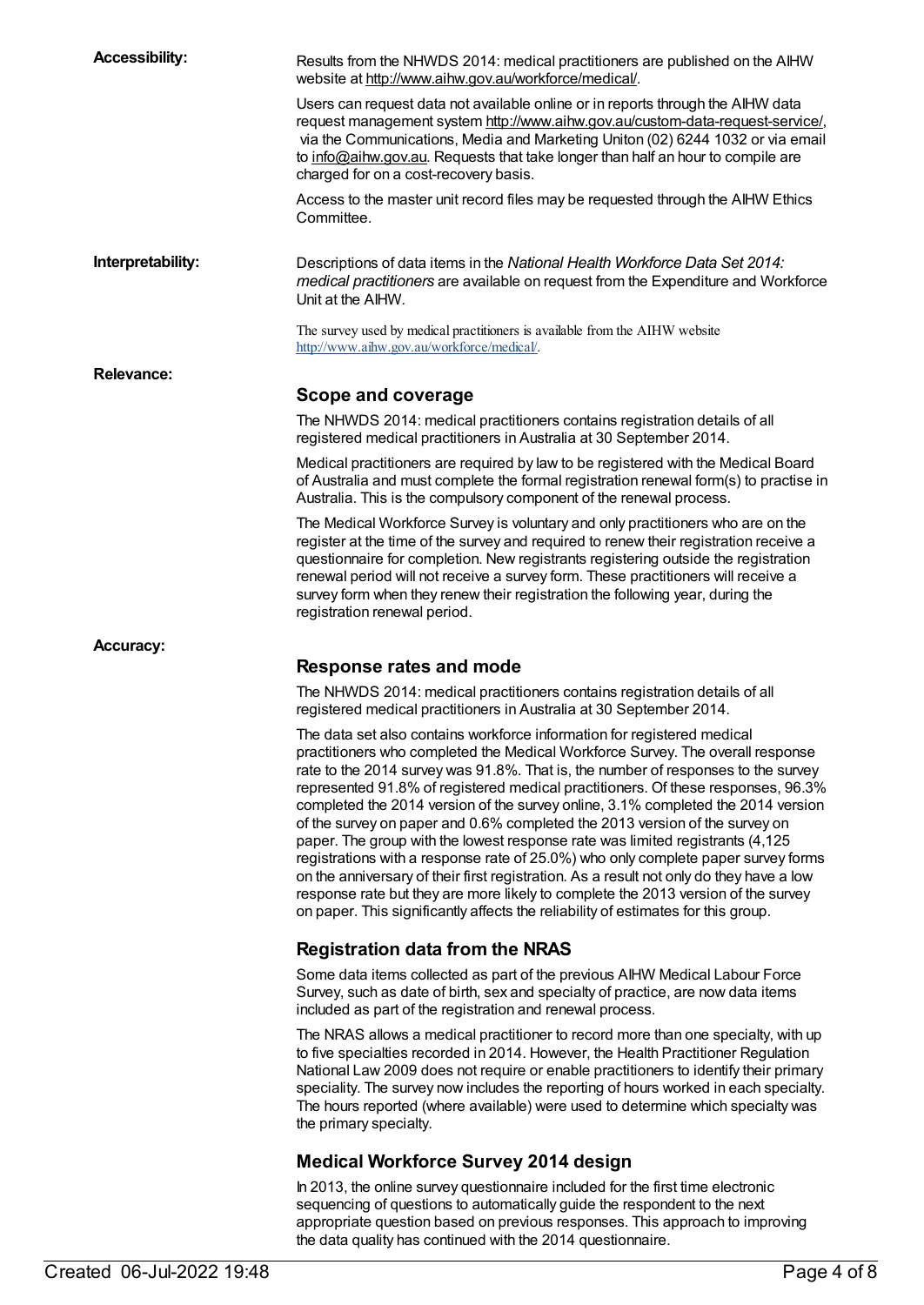| <b>Accessibility:</b> | Results from the NHWDS 2014: medical practitioners are published on the AIHW<br>website at http://www.aihw.gov.au/workforce/medical/.                                                                                                                                                                                                                                                                                                                                                                                                                                                                                                                                                                                                                                                                                                                                                                                                            |
|-----------------------|--------------------------------------------------------------------------------------------------------------------------------------------------------------------------------------------------------------------------------------------------------------------------------------------------------------------------------------------------------------------------------------------------------------------------------------------------------------------------------------------------------------------------------------------------------------------------------------------------------------------------------------------------------------------------------------------------------------------------------------------------------------------------------------------------------------------------------------------------------------------------------------------------------------------------------------------------|
|                       | Users can request data not available online or in reports through the AIHW data<br>request management system http://www.aihw.gov.au/custom-data-request-service/,<br>via the Communications, Media and Marketing Uniton (02) 6244 1032 or via email<br>to info@aihw.gov.au. Requests that take longer than half an hour to compile are<br>charged for on a cost-recovery basis.                                                                                                                                                                                                                                                                                                                                                                                                                                                                                                                                                                  |
|                       | Access to the master unit record files may be requested through the AIHW Ethics<br>Committee.                                                                                                                                                                                                                                                                                                                                                                                                                                                                                                                                                                                                                                                                                                                                                                                                                                                    |
| Interpretability:     | Descriptions of data items in the National Health Workforce Data Set 2014:<br>medical practitioners are available on request from the Expenditure and Workforce<br>Unit at the AIHW.                                                                                                                                                                                                                                                                                                                                                                                                                                                                                                                                                                                                                                                                                                                                                             |
|                       | The survey used by medical practitioners is available from the AIHW website<br>http://www.aihw.gov.au/workforce/medical/.                                                                                                                                                                                                                                                                                                                                                                                                                                                                                                                                                                                                                                                                                                                                                                                                                        |
| <b>Relevance:</b>     |                                                                                                                                                                                                                                                                                                                                                                                                                                                                                                                                                                                                                                                                                                                                                                                                                                                                                                                                                  |
|                       | Scope and coverage                                                                                                                                                                                                                                                                                                                                                                                                                                                                                                                                                                                                                                                                                                                                                                                                                                                                                                                               |
|                       | The NHWDS 2014: medical practitioners contains registration details of all<br>registered medical practitioners in Australia at 30 September 2014.                                                                                                                                                                                                                                                                                                                                                                                                                                                                                                                                                                                                                                                                                                                                                                                                |
|                       | Medical practitioners are required by law to be registered with the Medical Board<br>of Australia and must complete the formal registration renewal form(s) to practise in<br>Australia. This is the compulsory component of the renewal process.                                                                                                                                                                                                                                                                                                                                                                                                                                                                                                                                                                                                                                                                                                |
|                       | The Medical Workforce Survey is voluntary and only practitioners who are on the<br>register at the time of the survey and required to renew their registration receive a<br>questionnaire for completion. New registrants registering outside the registration<br>renewal period will not receive a survey form. These practitioners will receive a<br>survey form when they renew their registration the following year, during the<br>registration renewal period.                                                                                                                                                                                                                                                                                                                                                                                                                                                                             |
| <b>Accuracy:</b>      |                                                                                                                                                                                                                                                                                                                                                                                                                                                                                                                                                                                                                                                                                                                                                                                                                                                                                                                                                  |
|                       | Response rates and mode                                                                                                                                                                                                                                                                                                                                                                                                                                                                                                                                                                                                                                                                                                                                                                                                                                                                                                                          |
|                       | The NHWDS 2014: medical practitioners contains registration details of all<br>registered medical practitioners in Australia at 30 September 2014.                                                                                                                                                                                                                                                                                                                                                                                                                                                                                                                                                                                                                                                                                                                                                                                                |
|                       | The data set also contains workforce information for registered medical<br>practitioners who completed the Medical Workforce Survey. The overall response<br>rate to the 2014 survey was 91.8%. That is, the number of responses to the survey<br>represented 91.8% of registered medical practitioners. Of these responses, 96.3%<br>completed the 2014 version of the survey online, 3.1% completed the 2014 version<br>of the survey on paper and 0.6% completed the 2013 version of the survey on<br>paper. The group with the lowest response rate was limited registrants (4,125<br>registrations with a response rate of 25.0%) who only complete paper survey forms<br>on the anniversary of their first registration. As a result not only do they have a low<br>response rate but they are more likely to complete the 2013 version of the survey<br>on paper. This significantly affects the reliability of estimates for this group. |
|                       | <b>Registration data from the NRAS</b>                                                                                                                                                                                                                                                                                                                                                                                                                                                                                                                                                                                                                                                                                                                                                                                                                                                                                                           |
|                       | Some data items collected as part of the previous AIHW Medical Labour Force<br>Survey, such as date of birth, sex and specialty of practice, are now data items<br>included as part of the registration and renewal process.                                                                                                                                                                                                                                                                                                                                                                                                                                                                                                                                                                                                                                                                                                                     |
|                       | The NRAS allows a medical practitioner to record more than one specialty, with up<br>to five specialties recorded in 2014. However, the Health Practitioner Regulation<br>National Law 2009 does not require or enable practitioners to identify their primary<br>speciality. The survey now includes the reporting of hours worked in each specialty.<br>The hours reported (where available) were used to determine which specialty was<br>the primary specialty.                                                                                                                                                                                                                                                                                                                                                                                                                                                                              |
|                       | <b>Medical Workforce Survey 2014 design</b>                                                                                                                                                                                                                                                                                                                                                                                                                                                                                                                                                                                                                                                                                                                                                                                                                                                                                                      |
|                       | In 2013, the online survey questionnaire included for the first time electronic<br>sequencing of questions to automatically guide the respondent to the next<br>appropriate question based on previous responses. This approach to improving<br>the data quality has continued with the 2014 questionnaire.                                                                                                                                                                                                                                                                                                                                                                                                                                                                                                                                                                                                                                      |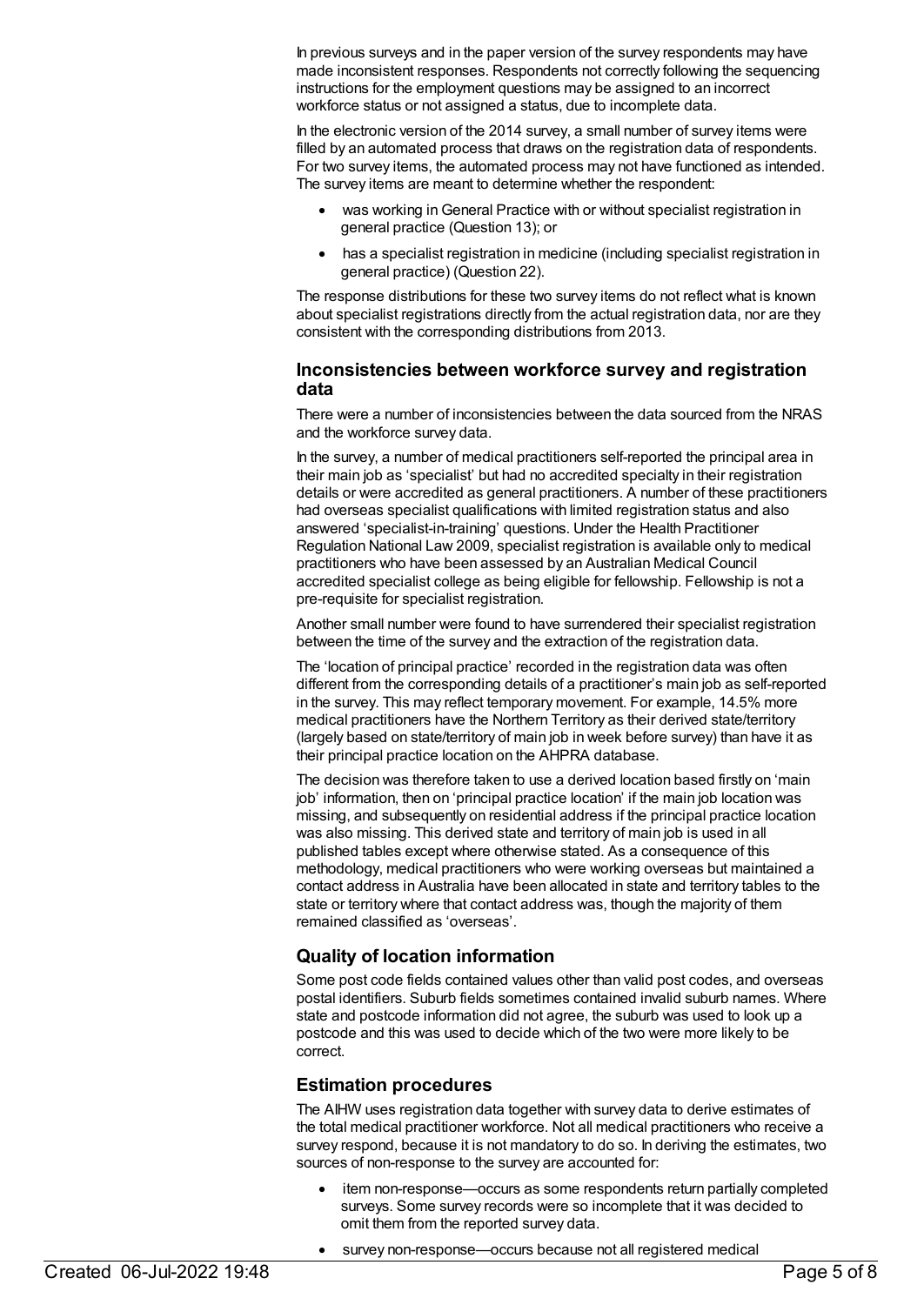In previous surveys and in the paper version of the survey respondents may have made inconsistent responses. Respondents not correctly following the sequencing instructions for the employment questions may be assigned to an incorrect workforce status or not assigned a status, due to incomplete data.

In the electronic version of the 2014 survey, a small number of survey items were filled by an automated process that draws on the registration data of respondents. For two survey items, the automated process may not have functioned as intended. The survey items are meant to determine whether the respondent:

- was working in General Practice with or without specialist registration in general practice (Question 13); or
- has a specialist registration in medicine (including specialist registration in general practice) (Question 22).

The response distributions for these two survey items do not reflect what is known about specialist registrations directly from the actual registration data, nor are they consistent with the corresponding distributions from 2013.

### **Inconsistencies between workforce survey and registration data**

There were a number of inconsistencies between the data sourced from the NRAS and the workforce survey data.

In the survey, a number of medical practitioners self-reported the principal area in their main job as 'specialist' but had no accredited specialty in their registration details or were accredited as general practitioners. A number of these practitioners had overseas specialist qualifications with limited registration status and also answered 'specialist-in-training' questions. Under the Health Practitioner Regulation National Law 2009, specialist registration is available only to medical practitioners who have been assessed by an Australian Medical Council accredited specialist college as being eligible for fellowship. Fellowship is not a pre-requisite for specialist registration.

Another small number were found to have surrendered their specialist registration between the time of the survey and the extraction of the registration data.

The 'location of principal practice' recorded in the registration data was often different from the corresponding details of a practitioner's main job as self-reported in the survey. This may reflect temporary movement. For example, 14.5% more medical practitioners have the Northern Territory as their derived state/territory (largely based on state/territory of main job in week before survey) than have it as their principal practice location on the AHPRA database.

The decision was therefore taken to use a derived location based firstly on 'main job' information, then on 'principal practice location' if the main job location was missing, and subsequently on residential address if the principal practice location was also missing. This derived state and territory of main job is used in all published tables except where otherwise stated. As a consequence of this methodology, medical practitioners who were working overseas but maintained a contact address in Australia have been allocated in state and territory tables to the state or territory where that contact address was, though the majority of them remained classified as 'overseas'.

### **Quality of location information**

Some post code fields contained values other than valid post codes, and overseas postal identifiers. Suburb fields sometimes contained invalid suburb names. Where state and postcode information did not agree, the suburb was used to look up a postcode and this was used to decide which of the two were more likely to be correct.

### **Estimation procedures**

The AIHW uses registration data together with survey data to derive estimates of the total medical practitioner workforce. Not all medical practitioners who receive a survey respond, because it is not mandatory to do so. In deriving the estimates, two sources of non-response to the survey are accounted for:

item non-response—occurs as some respondents return partially completed surveys. Some survey records were so incomplete that it was decided to omit them from the reported survey data.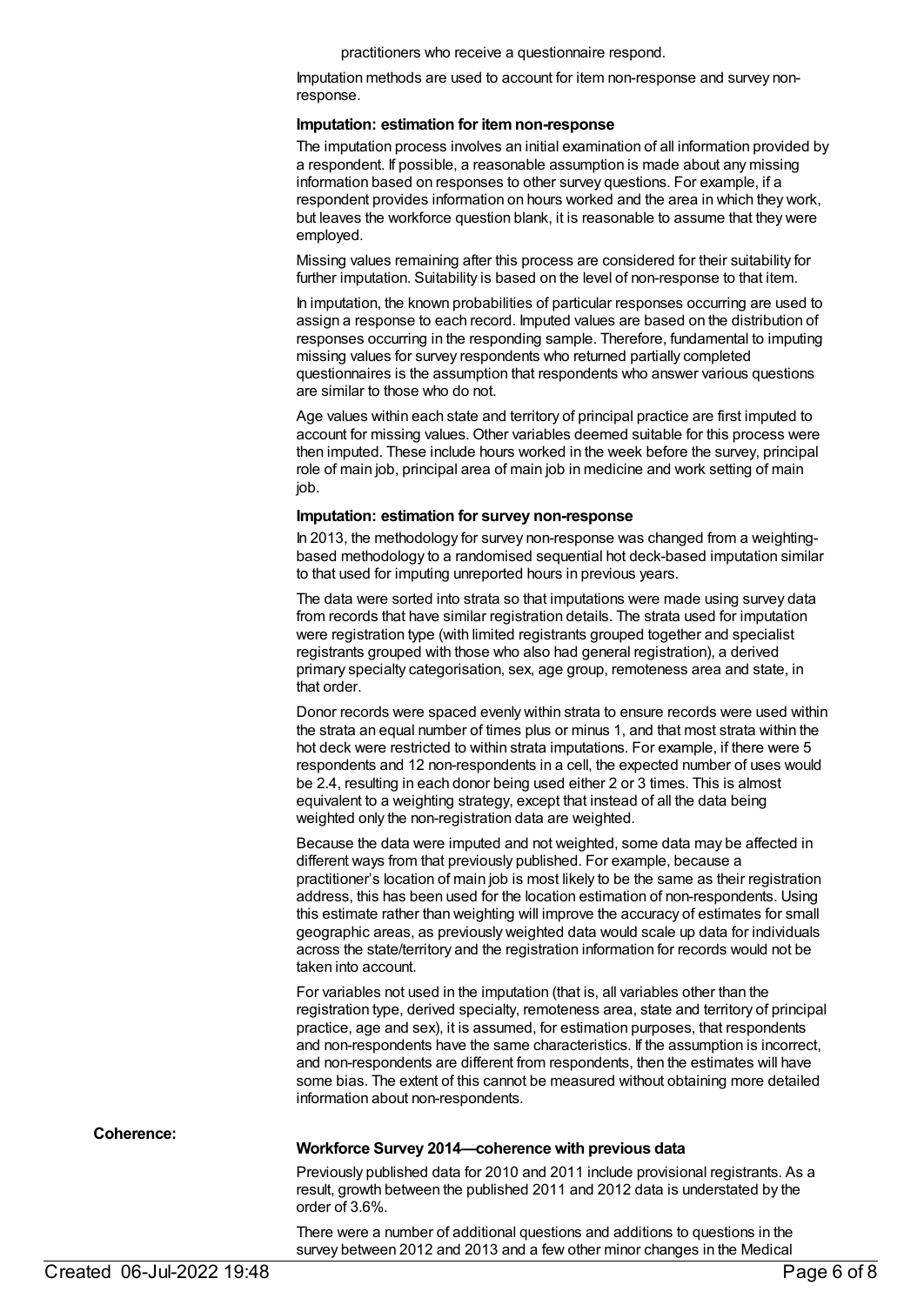practitioners who receive a questionnaire respond.

Imputation methods are used to account for item non-response and survey nonresponse.

#### **Imputation: estimation for itemnon-response**

The imputation process involves an initial examination of all information provided by a respondent. If possible, a reasonable assumption is made about any missing information based on responses to other survey questions. For example, if a respondent provides information on hours worked and the area in which they work, but leaves the workforce question blank, it is reasonable to assume that they were employed.

Missing values remaining after this process are considered for their suitability for further imputation. Suitability is based on the level of non-response to that item.

In imputation, the known probabilities of particular responses occurring are used to assign a response to each record. Imputed values are based on the distribution of responses occurring in the responding sample. Therefore, fundamental to imputing missing values for survey respondents who returned partially completed questionnaires is the assumption that respondents who answer various questions are similar to those who do not.

Age values within each state and territory of principal practice are first imputed to account for missing values. Other variables deemed suitable for this process were then imputed. These include hours worked in the week before the survey, principal role of main job, principal area of main job in medicine and work setting of main job.

#### **Imputation: estimation for survey non-response**

In 2013, the methodology for survey non-response was changed from a weightingbased methodology to a randomised sequential hot deck-based imputation similar to that used for imputing unreported hours in previous years.

The data were sorted into strata so that imputations were made using survey data from records that have similar registration details. The strata used for imputation were registration type (with limited registrants grouped together and specialist registrants grouped with those who also had general registration), a derived primary specialty categorisation, sex, age group, remoteness area and state, in that order.

Donor records were spaced evenly within strata to ensure records were used within the strata an equal number of times plus or minus 1, and that most strata within the hot deck were restricted to within strata imputations. For example, if there were 5 respondents and 12 non-respondents in a cell, the expected number of uses would be 2.4, resulting in each donor being used either 2 or 3 times. This is almost equivalent to a weighting strategy, except that instead of all the data being weighted only the non-registration data are weighted.

Because the data were imputed and not weighted, some data may be affected in different ways from that previously published. For example, because a practitioner's location of main job is most likely to be the same as their registration address, this has been used for the location estimation of non-respondents. Using this estimate rather than weighting will improve the accuracy of estimates for small geographic areas, as previously weighted data would scale up data for individuals across the state/territory and the registration information for records would not be taken into account.

For variables not used in the imputation (that is, all variables other than the registration type, derived specialty, remoteness area, state and territory of principal practice, age and sex), it is assumed, for estimation purposes, that respondents and non-respondents have the same characteristics. If the assumption is incorrect, and non-respondents are different from respondents, then the estimates will have some bias. The extent of this cannot be measured without obtaining more detailed information about non-respondents.

**Coherence:**

#### **Workforce Survey 2014—coherence with previous data**

Previously published data for 2010 and 2011 include provisional registrants. As a result, growth between the published 2011 and 2012 data is understated by the order of 3.6%.

There were a number of additional questions and additions to questions in the survey between 2012 and 2013 and a few other minor changes in the Medical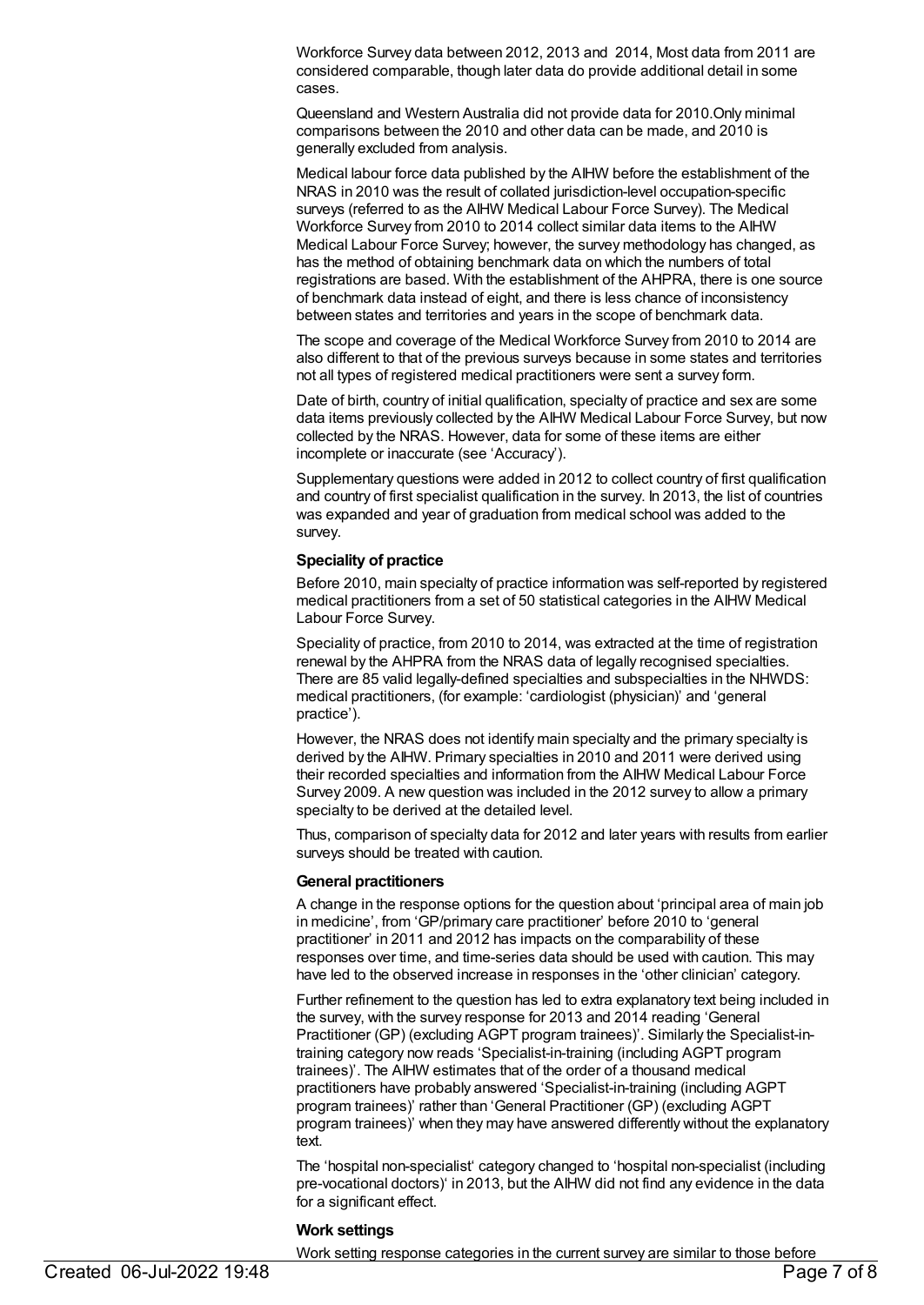Workforce Survey data between 2012, 2013 and 2014, Most data from 2011 are considered comparable, though later data do provide additional detail in some cases.

Queensland and Western Australia did not provide data for 2010.Only minimal comparisons between the 2010 and other data can be made, and 2010 is generally excluded from analysis.

Medical labour force data published by the AIHW before the establishment of the NRAS in 2010 was the result of collated jurisdiction-level occupation-specific surveys (referred to as the AIHW Medical Labour Force Survey). The Medical Workforce Survey from 2010 to 2014 collect similar data items to the AIHW Medical Labour Force Survey; however, the survey methodology has changed, as has the method of obtaining benchmark data on which the numbers of total registrations are based. With the establishment of the AHPRA, there is one source of benchmark data instead of eight, and there is less chance of inconsistency between states and territories and years in the scope of benchmark data.

The scope and coverage of the Medical Workforce Survey from 2010 to 2014 are also different to that of the previous surveys because in some states and territories not all types of registered medical practitioners were sent a survey form.

Date of birth, country of initial qualification, specialty of practice and sex are some data items previously collected by the AIHW Medical Labour Force Survey, but now collected by the NRAS. However, data for some of these items are either incomplete or inaccurate (see 'Accuracy').

Supplementary questions were added in 2012 to collect country of first qualification and country of first specialist qualification in the survey. In 2013, the list of countries was expanded and year of graduation from medical school was added to the survey.

#### **Speciality of practice**

Before 2010, main specialty of practice information was self-reported by registered medical practitioners from a set of 50 statistical categories in the AIHW Medical Labour Force Survey.

Speciality of practice, from 2010 to 2014, was extracted at the time of registration renewal by the AHPRA from the NRAS data of legally recognised specialties. There are 85 valid legally-defined specialties and subspecialties in the NHWDS: medical practitioners, (for example: 'cardiologist (physician)' and 'general practice').

However, the NRAS does not identify main specialty and the primary specialty is derived by the AIHW. Primary specialties in 2010 and 2011 were derived using their recorded specialties and information from the AIHW Medical Labour Force Survey 2009. A new question was included in the 2012 survey to allow a primary specialty to be derived at the detailed level.

Thus, comparison of specialty data for 2012 and later years with results from earlier surveys should be treated with caution.

#### **General practitioners**

A change in the response options for the question about 'principal area of main job in medicine', from 'GP/primary care practitioner' before 2010 to 'general practitioner' in 2011 and 2012 has impacts on the comparability of these responses over time, and time-series data should be used with caution. This may have led to the observed increase in responses in the 'other clinician' category.

Further refinement to the question has led to extra explanatory text being included in the survey, with the survey response for 2013 and 2014 reading 'General Practitioner (GP) (excluding AGPT program trainees)'. Similarly the Specialist-intraining category now reads 'Specialist-in-training (including AGPT program trainees)'. The AIHW estimates that of the order of a thousand medical practitioners have probably answered 'Specialist-in-training (including AGPT program trainees)' rather than 'General Practitioner (GP) (excluding AGPT program trainees)' when they may have answered differently without the explanatory text.

The 'hospital non-specialist' category changed to 'hospital non-specialist (including pre-vocational doctors)' in 2013, but the AIHW did not find any evidence in the data for a significant effect.

#### **Work settings**

Work setting response categories in the current survey are similar to those before